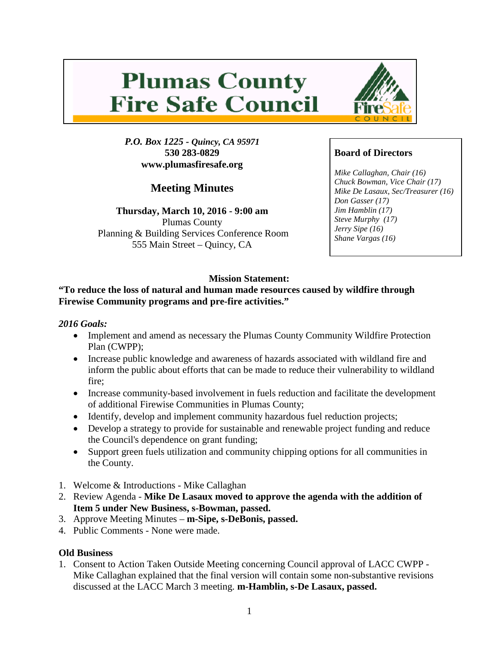# **Plumas County Fire Safe Council**

*P.O. Box 1225 - Quincy, CA 95971* **530 283-0829 www.plumasfiresafe.org**

**Meeting Minutes**

**Thursday, March 10, 2016 - 9:00 am** Plumas County Planning & Building Services Conference Room 555 Main Street – Quincy, CA



# **Board of Directors**

*Mike Callaghan, Chair (16) Chuck Bowman, Vice Chair (17) Mike De Lasaux, Sec/Treasurer (16) Don Gasser (17) Jim Hamblin (17) Steve Murphy (17) Jerry Sipe (16) Shane Vargas (16)*

# **Mission Statement:**

## **"To reduce the loss of natural and human made resources caused by wildfire through Firewise Community programs and pre-fire activities."**

#### *2016 Goals:*

- Implement and amend as necessary the Plumas County Community Wildfire Protection Plan (CWPP);
- Increase public knowledge and awareness of hazards associated with wildland fire and inform the public about efforts that can be made to reduce their vulnerability to wildland fire;
- Increase community-based involvement in fuels reduction and facilitate the development of additional Firewise Communities in Plumas County;
- Identify, develop and implement community hazardous fuel reduction projects;
- Develop a strategy to provide for sustainable and renewable project funding and reduce the Council's dependence on grant funding;
- Support green fuels utilization and community chipping options for all communities in the County.
- 1. Welcome & Introductions Mike Callaghan
- 2. Review Agenda **Mike De Lasaux moved to approve the agenda with the addition of Item 5 under New Business, s-Bowman, passed.**
- 3. Approve Meeting Minutes **m-Sipe, s-DeBonis, passed.**
- 4. Public Comments None were made.

## **Old Business**

1. Consent to Action Taken Outside Meeting concerning Council approval of LACC CWPP - Mike Callaghan explained that the final version will contain some non-substantive revisions discussed at the LACC March 3 meeting. **m-Hamblin, s-De Lasaux, passed.**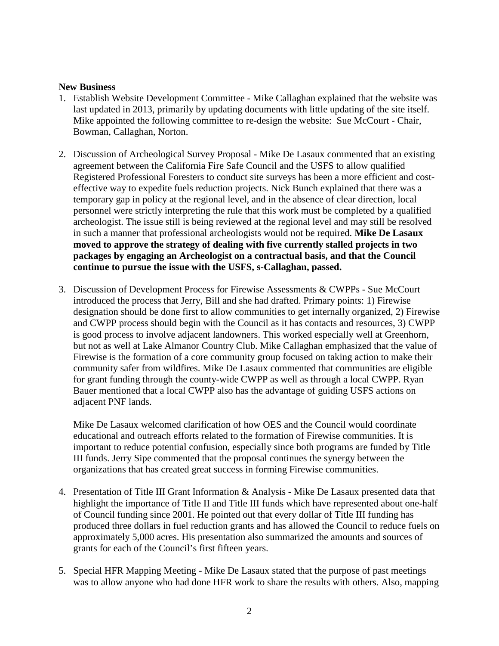#### **New Business**

- 1. Establish Website Development Committee Mike Callaghan explained that the website was last updated in 2013, primarily by updating documents with little updating of the site itself. Mike appointed the following committee to re-design the website: Sue McCourt - Chair, Bowman, Callaghan, Norton.
- 2. Discussion of Archeological Survey Proposal Mike De Lasaux commented that an existing agreement between the California Fire Safe Council and the USFS to allow qualified Registered Professional Foresters to conduct site surveys has been a more efficient and costeffective way to expedite fuels reduction projects. Nick Bunch explained that there was a temporary gap in policy at the regional level, and in the absence of clear direction, local personnel were strictly interpreting the rule that this work must be completed by a qualified archeologist. The issue still is being reviewed at the regional level and may still be resolved in such a manner that professional archeologists would not be required. **Mike De Lasaux moved to approve the strategy of dealing with five currently stalled projects in two packages by engaging an Archeologist on a contractual basis, and that the Council continue to pursue the issue with the USFS, s-Callaghan, passed.**
- 3. Discussion of Development Process for Firewise Assessments & CWPPs Sue McCourt introduced the process that Jerry, Bill and she had drafted. Primary points: 1) Firewise designation should be done first to allow communities to get internally organized, 2) Firewise and CWPP process should begin with the Council as it has contacts and resources, 3) CWPP is good process to involve adjacent landowners. This worked especially well at Greenhorn, but not as well at Lake Almanor Country Club. Mike Callaghan emphasized that the value of Firewise is the formation of a core community group focused on taking action to make their community safer from wildfires. Mike De Lasaux commented that communities are eligible for grant funding through the county-wide CWPP as well as through a local CWPP. Ryan Bauer mentioned that a local CWPP also has the advantage of guiding USFS actions on adjacent PNF lands.

Mike De Lasaux welcomed clarification of how OES and the Council would coordinate educational and outreach efforts related to the formation of Firewise communities. It is important to reduce potential confusion, especially since both programs are funded by Title III funds. Jerry Sipe commented that the proposal continues the synergy between the organizations that has created great success in forming Firewise communities.

- 4. Presentation of Title III Grant Information & Analysis Mike De Lasaux presented data that highlight the importance of Title II and Title III funds which have represented about one-half of Council funding since 2001. He pointed out that every dollar of Title III funding has produced three dollars in fuel reduction grants and has allowed the Council to reduce fuels on approximately 5,000 acres. His presentation also summarized the amounts and sources of grants for each of the Council's first fifteen years.
- 5. Special HFR Mapping Meeting Mike De Lasaux stated that the purpose of past meetings was to allow anyone who had done HFR work to share the results with others. Also, mapping